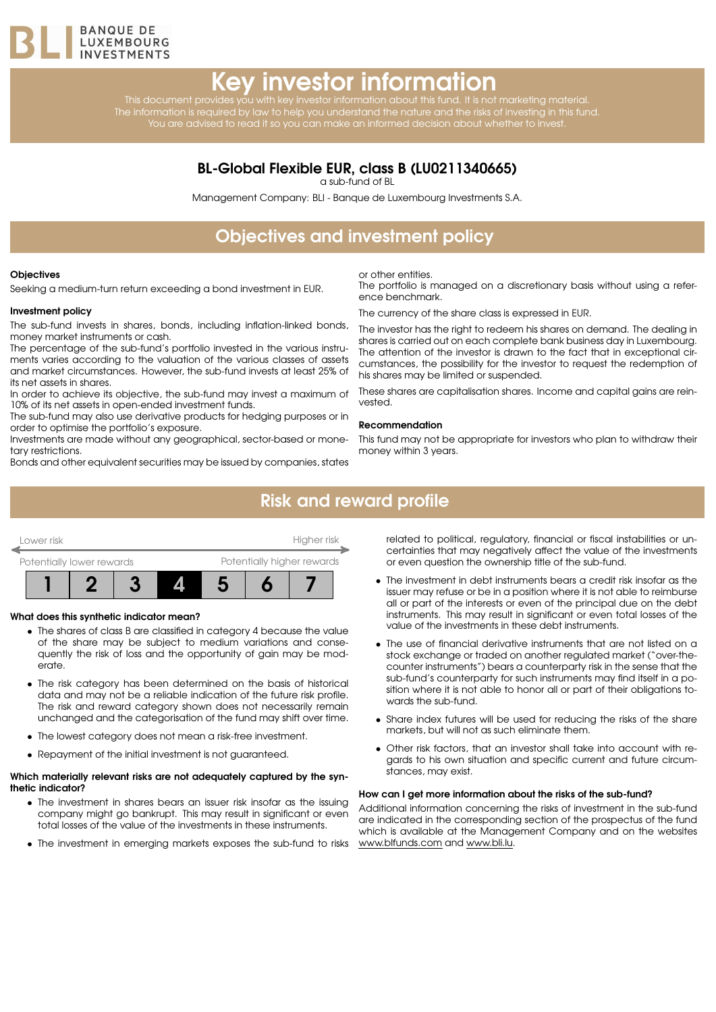

# Key investor information

This document provides you with key investor information about this fund. It is not marketing material. The information is required by law to help you understand the nature and the risks of investing in this fund. You are advised to read it so you can make an informed decision about whether to invest.

### BL-Global Flexible EUR, class B (LU0211340665)

a sub-fund of BL

Management Company: BLI - Banque de Luxembourg Investments S.A.

# Objectives and investment policy

#### **Objectives**

Seeking a medium-turn return exceeding a bond investment in EUR.

#### Investment policy

The sub-fund invests in shares, bonds, including inflation-linked bonds, money market instruments or cash.

The percentage of the sub-fund's portfolio invested in the various instruments varies according to the valuation of the various classes of assets and market circumstances. However, the sub-fund invests at least 25% of its net assets in shares.

In order to achieve its objective, the sub-fund may invest a maximum of 10% of its net assets in open-ended investment funds.

The sub-fund may also use derivative products for hedging purposes or in order to optimise the portfolio's exposure.

Investments are made without any geographical, sector-based or monetary restrictions.

Bonds and other equivalent securities may be issued by companies, states

or other entities.

The portfolio is managed on a discretionary basis without using a reference benchmark.

The currency of the share class is expressed in EUR.

The investor has the right to redeem his shares on demand. The dealing in shares is carried out on each complete bank business day in Luxembourg. The attention of the investor is drawn to the fact that in exceptional circumstances, the possibility for the investor to request the redemption of his shares may be limited or suspended.

These shares are capitalisation shares. Income and capital gains are reinvested.

#### Recommendation

This fund may not be appropriate for investors who plan to withdraw their money within 3 years.

### Risk and reward profile



#### What does this synthetic indicator mean?

- The shares of class B are classified in category 4 because the value of the share may be subject to medium variations and consequently the risk of loss and the opportunity of gain may be moderate.
- The risk category has been determined on the basis of historical data and may not be a reliable indication of the future risk profile. The risk and reward category shown does not necessarily remain unchanged and the categorisation of the fund may shift over time.
- The lowest category does not mean a risk-free investment.
- Repayment of the initial investment is not guaranteed.

#### Which materially relevant risks are not adequately captured by the synthetic indicator?

- The investment in shares bears an issuer risk insofar as the issuing company might go bankrupt. This may result in significant or even total losses of the value of the investments in these instruments.
- The investment in emerging markets exposes the sub-fund to risks

related to political, regulatory, financial or fiscal instabilities or uncertainties that may negatively affect the value of the investments or even question the ownership title of the sub-fund.

- The investment in debt instruments bears a credit risk insofar as the issuer may refuse or be in a position where it is not able to reimburse all or part of the interests or even of the principal due on the debt instruments. This may result in significant or even total losses of the value of the investments in these debt instruments.
- The use of financial derivative instruments that are not listed on a stock exchange or traded on another regulated market ("over-thecounter instruments") bears a counterparty risk in the sense that the sub-fund's counterparty for such instruments may find itself in a position where it is not able to honor all or part of their obligations towards the sub-fund.
- Share index futures will be used for reducing the risks of the share markets, but will not as such eliminate them.
- Other risk factors, that an investor shall take into account with regards to his own situation and specific current and future circumstances, may exist.

#### How can I get more information about the risks of the sub-fund?

Additional information concerning the risks of investment in the sub-fund are indicated in the corresponding section of the prospectus of the fund which is available at the Management Company and on the websites [www.blfunds.com](http://www.blfunds.com) and [www.bli.lu.](http://www.bli.lu)